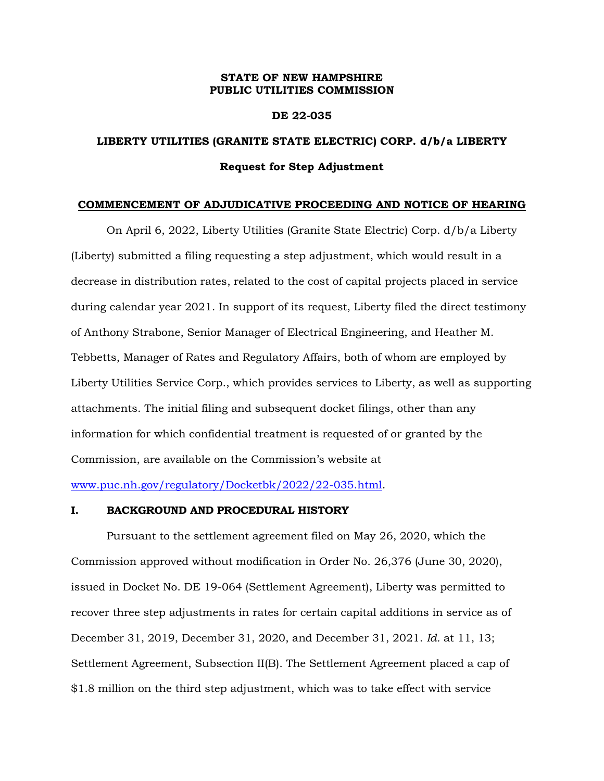#### **STATE OF NEW HAMPSHIRE PUBLIC UTILITIES COMMISSION**

#### **DE 22-035**

## **LIBERTY UTILITIES (GRANITE STATE ELECTRIC) CORP. d/b/a LIBERTY Request for Step Adjustment**

#### **COMMENCEMENT OF ADJUDICATIVE PROCEEDING AND NOTICE OF HEARING**

On April 6, 2022, Liberty Utilities (Granite State Electric) Corp. d/b/a Liberty (Liberty) submitted a filing requesting a step adjustment, which would result in a decrease in distribution rates, related to the cost of capital projects placed in service during calendar year 2021. In support of its request, Liberty filed the direct testimony of Anthony Strabone, Senior Manager of Electrical Engineering, and Heather M. Tebbetts, Manager of Rates and Regulatory Affairs, both of whom are employed by Liberty Utilities Service Corp., which provides services to Liberty, as well as supporting attachments. The initial filing and subsequent docket filings, other than any information for which confidential treatment is requested of or granted by the Commission, are available on the Commission's website at

[www.puc.nh.gov/regulatory/Docketbk/2022/22-035.html.](http://www.puc.nh.gov/regulatory/Docketbk/2022/22-035.html)

#### **I. BACKGROUND AND PROCEDURAL HISTORY**

Pursuant to the settlement agreement filed on May 26, 2020, which the Commission approved without modification in Order No. 26,376 (June 30, 2020), issued in Docket No. DE 19-064 (Settlement Agreement), Liberty was permitted to recover three step adjustments in rates for certain capital additions in service as of December 31, 2019, December 31, 2020, and December 31, 2021. *Id.* at 11, 13; Settlement Agreement, Subsection II(B). The Settlement Agreement placed a cap of \$1.8 million on the third step adjustment, which was to take effect with service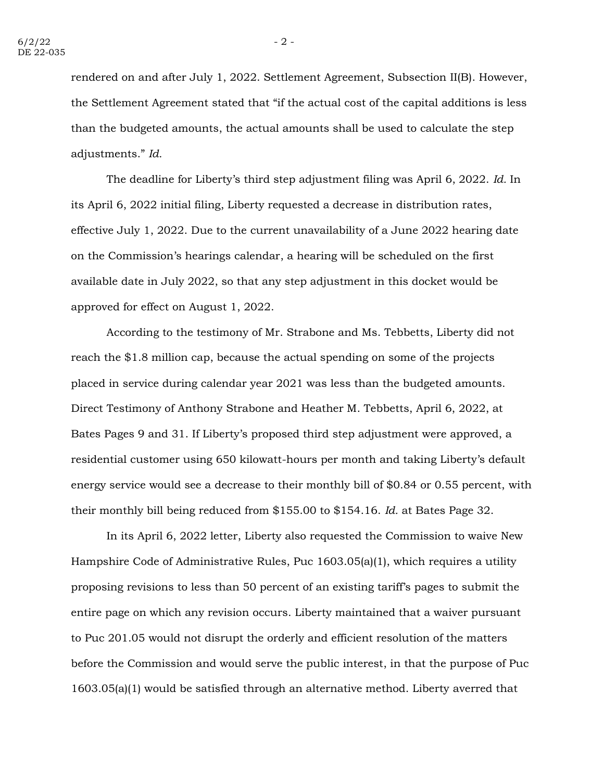rendered on and after July 1, 2022. Settlement Agreement, Subsection II(B). However, the Settlement Agreement stated that "if the actual cost of the capital additions is less than the budgeted amounts, the actual amounts shall be used to calculate the step adjustments." *Id.*

The deadline for Liberty's third step adjustment filing was April 6, 2022. *Id.* In its April 6, 2022 initial filing, Liberty requested a decrease in distribution rates, effective July 1, 2022. Due to the current unavailability of a June 2022 hearing date on the Commission's hearings calendar, a hearing will be scheduled on the first available date in July 2022, so that any step adjustment in this docket would be approved for effect on August 1, 2022.

According to the testimony of Mr. Strabone and Ms. Tebbetts, Liberty did not reach the \$1.8 million cap, because the actual spending on some of the projects placed in service during calendar year 2021 was less than the budgeted amounts. Direct Testimony of Anthony Strabone and Heather M. Tebbetts, April 6, 2022, at Bates Pages 9 and 31. If Liberty's proposed third step adjustment were approved, a residential customer using 650 kilowatt-hours per month and taking Liberty's default energy service would see a decrease to their monthly bill of \$0.84 or 0.55 percent, with their monthly bill being reduced from \$155.00 to \$154.16. *Id.* at Bates Page 32.

In its April 6, 2022 letter, Liberty also requested the Commission to waive New Hampshire Code of Administrative Rules, Puc 1603.05(a)(1), which requires a utility proposing revisions to less than 50 percent of an existing tariff's pages to submit the entire page on which any revision occurs. Liberty maintained that a waiver pursuant to Puc 201.05 would not disrupt the orderly and efficient resolution of the matters before the Commission and would serve the public interest, in that the purpose of Puc 1603.05(a)(1) would be satisfied through an alternative method. Liberty averred that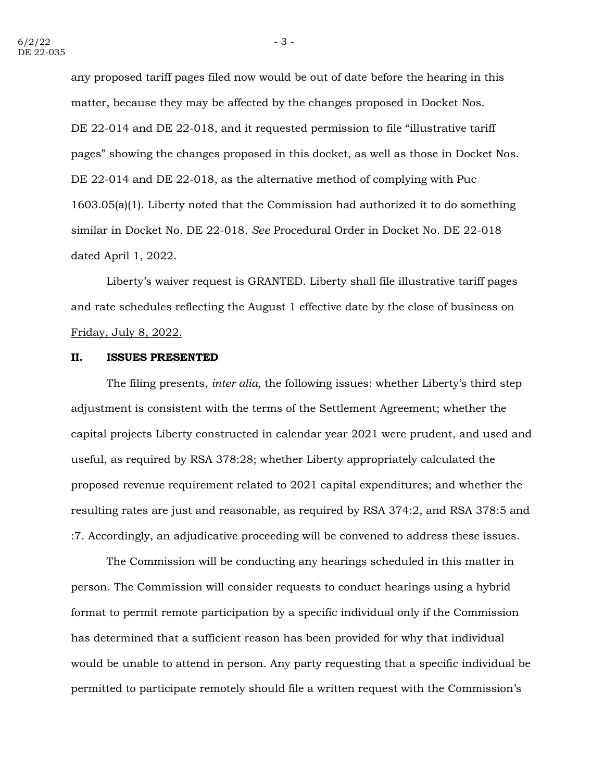any proposed tariff pages filed now would be out of date before the hearing in this matter, because they may be affected by the changes proposed in Docket Nos. DE 22-014 and DE 22-018, and it requested permission to file "illustrative tariff pages" showing the changes proposed in this docket, as well as those in Docket Nos. DE 22-014 and DE 22-018, as the alternative method of complying with Puc 1603.05(a)(1). Liberty noted that the Commission had authorized it to do something similar in Docket No. DE 22-018. *See* Procedural Order in Docket No. DE 22-018 dated April 1, 2022.

Liberty's waiver request is GRANTED. Liberty shall file illustrative tariff pages and rate schedules reflecting the August 1 effective date by the close of business on Friday, July 8, 2022.

#### **II. ISSUES PRESENTED**

The filing presents, *inter alia,* the following issues: whether Liberty's third step adjustment is consistent with the terms of the Settlement Agreement; whether the capital projects Liberty constructed in calendar year 2021 were prudent, and used and useful, as required by RSA 378:28; whether Liberty appropriately calculated the proposed revenue requirement related to 2021 capital expenditures; and whether the resulting rates are just and reasonable, as required by RSA 374:2, and RSA 378:5 and :7. Accordingly, an adjudicative proceeding will be convened to address these issues.

The Commission will be conducting any hearings scheduled in this matter in person. The Commission will consider requests to conduct hearings using a hybrid format to permit remote participation by a specific individual only if the Commission has determined that a sufficient reason has been provided for why that individual would be unable to attend in person. Any party requesting that a specific individual be permitted to participate remotely should file a written request with the Commission's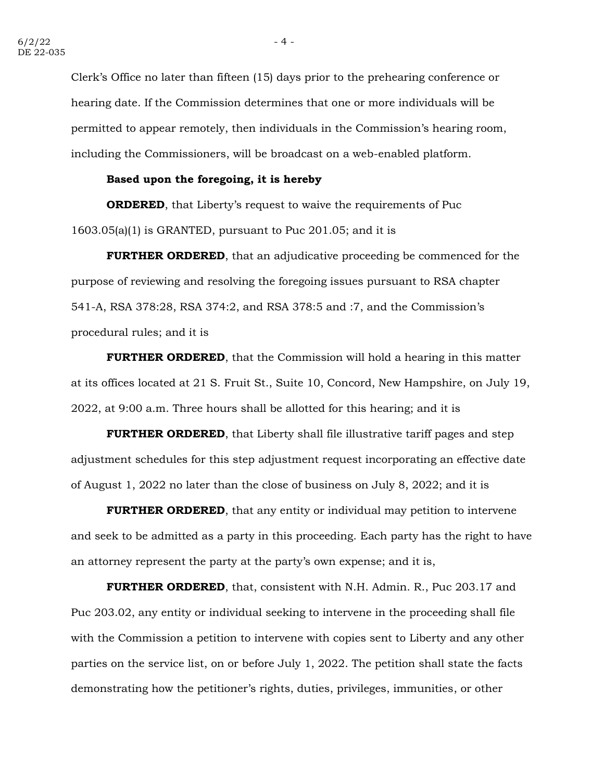Clerk's Office no later than fifteen (15) days prior to the prehearing conference or hearing date. If the Commission determines that one or more individuals will be permitted to appear remotely, then individuals in the Commission's hearing room, including the Commissioners, will be broadcast on a web-enabled platform.

### **Based upon the foregoing, it is hereby**

**ORDERED**, that Liberty's request to waive the requirements of Puc 1603.05(a)(1) is GRANTED, pursuant to Puc 201.05; and it is

**FURTHER ORDERED**, that an adjudicative proceeding be commenced for the purpose of reviewing and resolving the foregoing issues pursuant to RSA chapter 541-A, RSA 378:28, RSA 374:2, and RSA 378:5 and :7, and the Commission's procedural rules; and it is

**FURTHER ORDERED**, that the Commission will hold a hearing in this matter at its offices located at 21 S. Fruit St., Suite 10, Concord, New Hampshire, on July 19, 2022, at 9:00 a.m. Three hours shall be allotted for this hearing; and it is

**FURTHER ORDERED**, that Liberty shall file illustrative tariff pages and step adjustment schedules for this step adjustment request incorporating an effective date of August 1, 2022 no later than the close of business on July 8, 2022; and it is

**FURTHER ORDERED**, that any entity or individual may petition to intervene and seek to be admitted as a party in this proceeding. Each party has the right to have an attorney represent the party at the party's own expense; and it is,

**FURTHER ORDERED**, that, consistent with N.H. Admin. R., Puc 203.17 and Puc 203.02, any entity or individual seeking to intervene in the proceeding shall file with the Commission a petition to intervene with copies sent to Liberty and any other parties on the service list, on or before July 1, 2022. The petition shall state the facts demonstrating how the petitioner's rights, duties, privileges, immunities, or other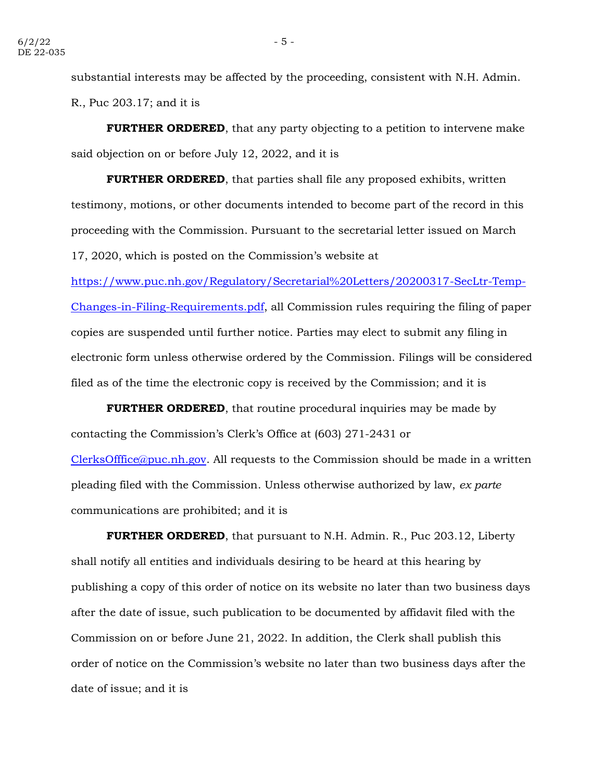substantial interests may be affected by the proceeding, consistent with N.H. Admin. R., Puc 203.17; and it is

**FURTHER ORDERED**, that any party objecting to a petition to intervene make said objection on or before July 12, 2022, and it is

**FURTHER ORDERED**, that parties shall file any proposed exhibits, written testimony, motions, or other documents intended to become part of the record in this proceeding with the Commission. Pursuant to the secretarial letter issued on March 17, 2020, which is posted on the Commission's website at

[https://www.puc.nh.gov/Regulatory/Secretarial%20Letters/20200317-SecLtr-Temp-](https://www.puc.nh.gov/Regulatory/Secretarial%20Letters/20200317-SecLtr-Temp-Changes-in-Filing-Requirements.pdf)[Changes-in-Filing-Requirements.pdf,](https://www.puc.nh.gov/Regulatory/Secretarial%20Letters/20200317-SecLtr-Temp-Changes-in-Filing-Requirements.pdf) all Commission rules requiring the filing of paper copies are suspended until further notice. Parties may elect to submit any filing in electronic form unless otherwise ordered by the Commission. Filings will be considered filed as of the time the electronic copy is received by the Commission; and it is

**FURTHER ORDERED**, that routine procedural inquiries may be made by contacting the Commission's Clerk's Office at (603) 271-2431 or [ClerksOfffice@puc.nh.gov.](mailto:ClerksOfffice@puc.nh.gov) All requests to the Commission should be made in a written pleading filed with the Commission. Unless otherwise authorized by law, *ex parte* communications are prohibited; and it is

**FURTHER ORDERED**, that pursuant to N.H. Admin. R., Puc 203.12, Liberty shall notify all entities and individuals desiring to be heard at this hearing by publishing a copy of this order of notice on its website no later than two business days after the date of issue, such publication to be documented by affidavit filed with the Commission on or before June 21, 2022. In addition, the Clerk shall publish this order of notice on the Commission's website no later than two business days after the date of issue; and it is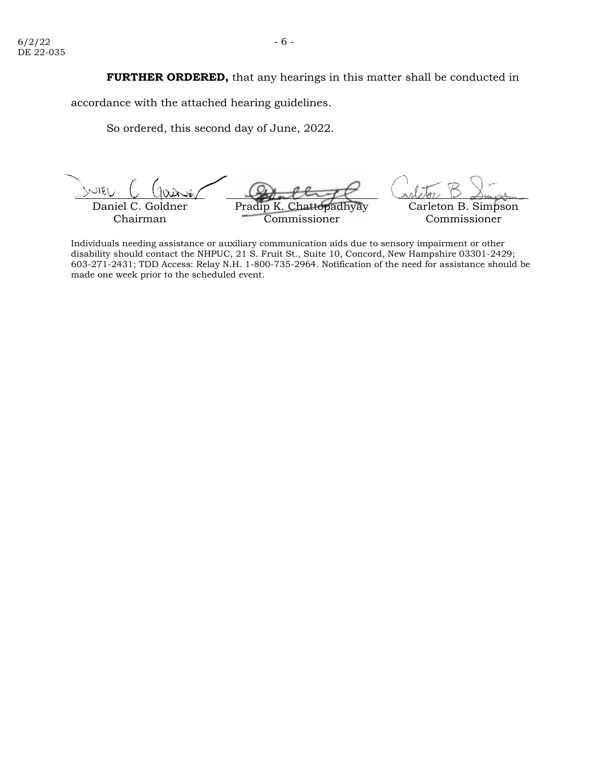accordance with the attached hearing guidelines.

So ordered, this second day of June, 2022.

Daniel C. Chairman Pradip Commissioner Carleton B. Simpson Commissioner

Individuals needing assistance or auxiliary communication aids due to sensory impairment or other disability should contact the NHPUC, 21 S. Fruit St., Suite 10, Concord, New Hampshire 03301-2429; 603-271-2431; TDD Access: Relay N.H. 1-800-735-2964. Notification of the need for assistance should be made one week prior to the scheduled event.